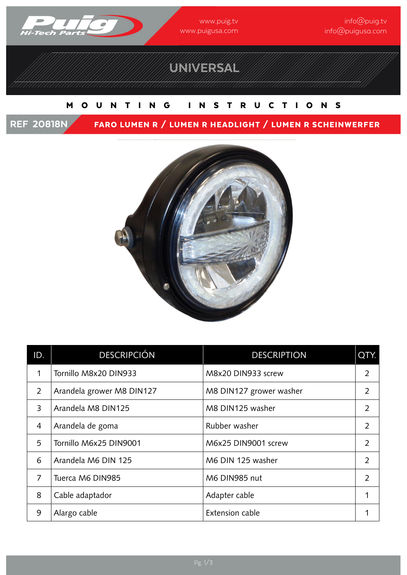

www.puig.tv www.puigusa.com

# UNIVERSAL

#### MOUNTING INSTRUCTIONS

REF 20818N FARO LUMEN R / LUMEN R HEADLIGHT / LUMEN R SCHEINWERFER



| ID.            | <b>DESCRIPCIÓN</b>        | <b>DESCRIPTION</b>      | QTY.           |
|----------------|---------------------------|-------------------------|----------------|
|                | Tornillo M8x20 DIN933     | M8x20 DIN933 screw      | $\overline{2}$ |
| $\overline{2}$ | Arandela grower M8 DIN127 | M8 DIN127 grower washer | $\overline{2}$ |
| 3              | Arandela M8 DIN125        | M8 DIN125 washer        | $\overline{2}$ |
| $\overline{4}$ | Arandela de goma          | Rubber washer           | $\overline{2}$ |
| 5              | Tornillo M6x25 DIN9001    | M6x25 DIN9001 screw     | $\overline{2}$ |
| 6              | Arandela M6 DIN 125       | M6 DIN 125 washer       | 2              |
| $\overline{7}$ | Tuerca M6 DIN985          | M6 DIN985 nut           | $\overline{2}$ |
| 8              | Cable adaptador           | Adapter cable           | 1              |
| 9              | Alargo cable              | Extension cable         | 1              |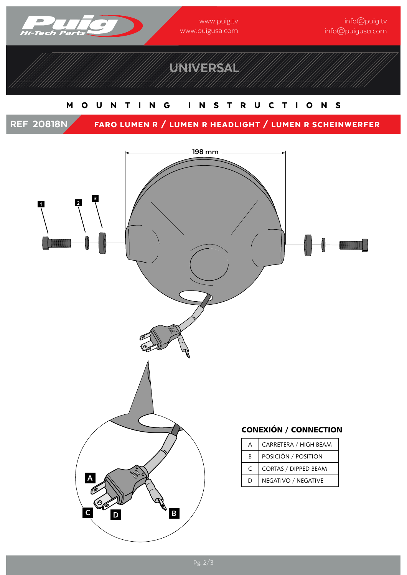

# UNIVERSAL

### MOUNTING INSTRUCTIONS

REF 20818N FARO LUMEN R / LUMEN R HEADLIGHT / LUMEN R SCHEINWERFER